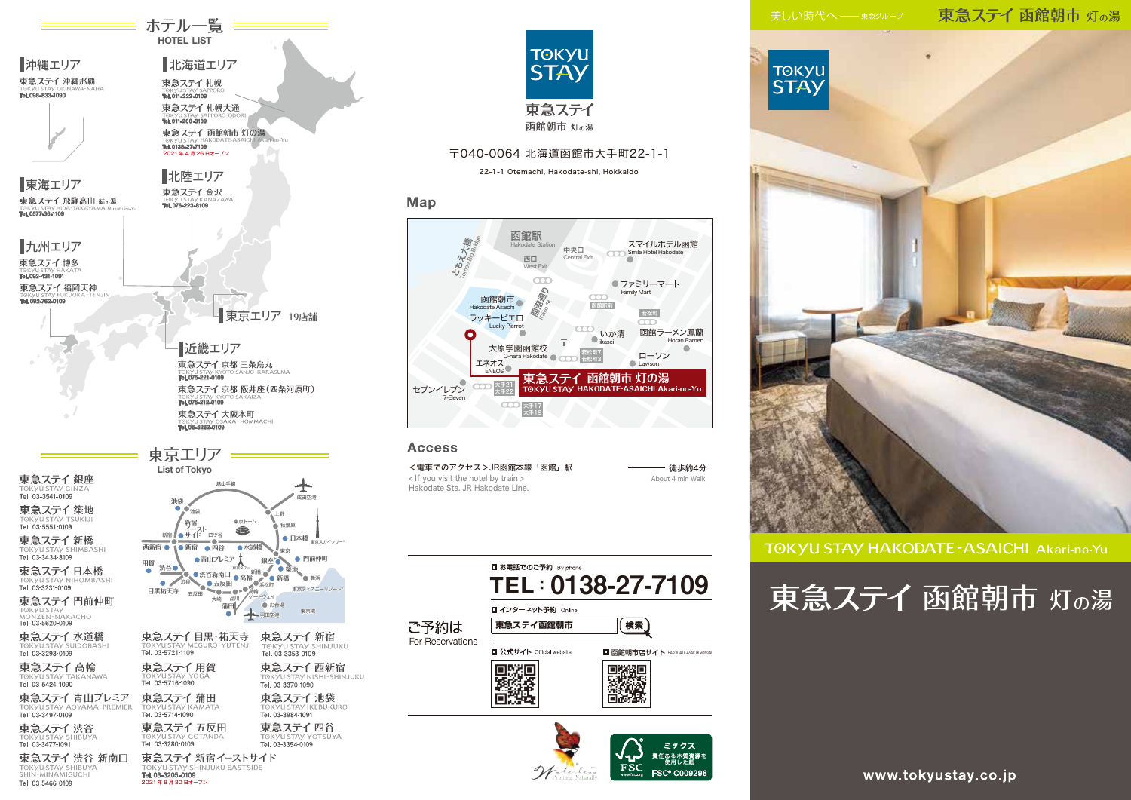東急ステイ 函館朝市 灯の湯



**TOKYU STAY HAKODATE - ASAICHI Akari-no-Yu** 

# 東急ステイ 函館朝市 灯の湯

www.tokyustay.co.jp

 $\equiv$  ホテル一覧  $\equiv$ HOTEL LIST 沖縄エリア 北海道エリア 東急ステイ 沖縄那覇 東急ステイ札幌 Tel. 011-222-0109Tel. 098-833-1090 東急ステイ札幌大通 Tel. 011-200-3109 **函館朝市 灯の湯 HAKODATE-ASAICHI Akari-no-Yu** Tel. 0138-27-7109 2021 年 4 月 26 日オープン 北陸エリア 東海エリア 東急ステイ金沢 東急ステイ 飛騨高山 結の湯 Tel. 076-223-8109 Tel. 0577-36-1109 九州エリア 東急ステイ博多 Tel. 092-431-1091 東急ステイ福岡天神 rel. 092-762-010 ■ 東京エリア 19店舗 近畿エリア 東急ステイ 京都 三条烏丸 Tel. 075-221-0109 東急ステイ 京都 阪井座 (四条河原町) Tel. 075-212-0109 東急ステイ大阪本町 Tel. 06-6262-0109 東京エリア List of Tokyo 東急ステイ銀座 **JR山手線** ╇ TOKYU STAY GI 成田空港 **池袋** 東急ステイ築地 。<br>油袋 上野 **TOKYU STAY TS**<br>Tel. 03-5551-0109 **新宿** 東京ドーム 秋葉原  $\bullet$ **新宿 ● サイド** 四ツ谷 東急ステイ新橋 **日本橋 <sub>東京スカイツリー</sub>。** TOKYU STAY SHIMBASHI 西新宿 ● 1● 新宿 ● 四谷 ● 水道橋 東京 Tel. 03-3434-8109 **●青山プレミア 門前仲町 銀座** 用賀<br>**標電** 渋谷● 東急ステイ日本橋 ● 浅谷新南口 ● 高輪<br>※谷 ● 五反田 ● 高輪 ● 新橋<br>※谷 ● 五反田 高輪 <sub>東京タワー</sub><br>新橋 舞浜 TOKYU STAY NIHOMBASHI<br>Tel. 03-3231-0109  $\blacksquare$ **目黒祐天寺**<br>日黒祐天寺 <sub>五反田</sub> 浜松町 東京ディズニーリゾート® ■■<br>品川 /ゲートウェイ 五反田 大崎 東急ステイ門前仲町 お台場 **蒲田** TOKYU STAY<br>MONZEN-NAKACHO<br>**Tel. 03-5620-0109** 羽田空港 東京湾 東急ステイ 水道橋 東急ステイ 目黒・祐天寺 東急ステイ 新宿 TOKYU STAY SHINJUKU<br>TOKYU STAY SHINJUKU TOKYU STAY SUIDOBASHI<br>Tel: 03-3293-0109 Т⊙КУЦ STAУ МЕ<br>**Tel. 03-5721-1109** 東急ステイ高輪 東急ステイ用賀 東急ステイ西新宿 TOKYU STAY NISHI-SHINJUKU TOKYU STAY TA<br>Tel. 03-5424-1090 ANAWA TORY USTAY TO 東急ステイ蒲田 東急ステイ 青山プレミア 東急ステイ池袋 TOKYU STAY IKEBUKURO TOK VILSTAV AOYAMA-PREMIER **TOKYLI STAY KAMATA** Tel. 03-3497-0109 Tel. 03-5714-1090 Tel. 03-3984-1091 東急ステイ五反田 東急ステイ四谷 東急ステイ渋谷 TOKYU STAY SHIBUYA<br>Tel. 03-3477-1091 TOKVILSTAV GOTANDA **TOKYLI STAV YOTSHYA** 

Tel. 03-3280-0109 Tel. 03-3354-0109 東急ステイ 新宿イーストサイド KVILSTAV SHINJUKLI FASTSIDE Tel. 03-3205-0109 2021 年 8 月 30 日オープン

東急ステイ 渋谷 新南口

TOKYU STAY SHIBUYA

Tel. 03-5466-0109



## 〒040-0064 北海道函館市大手町22-1-1

22-1-1 Otemachi, Hakodate-shi, Hokkaido

### Map



## **Access**

<電車でのアクセス>JR函館本線「函館」駅 ––––– 徒歩約4分 < If you visit the hotel by train > Hakodate Sta. JR Hakodate Line.

About 4 min Walk

**責任ある木質資** 

**FSC® C0092**